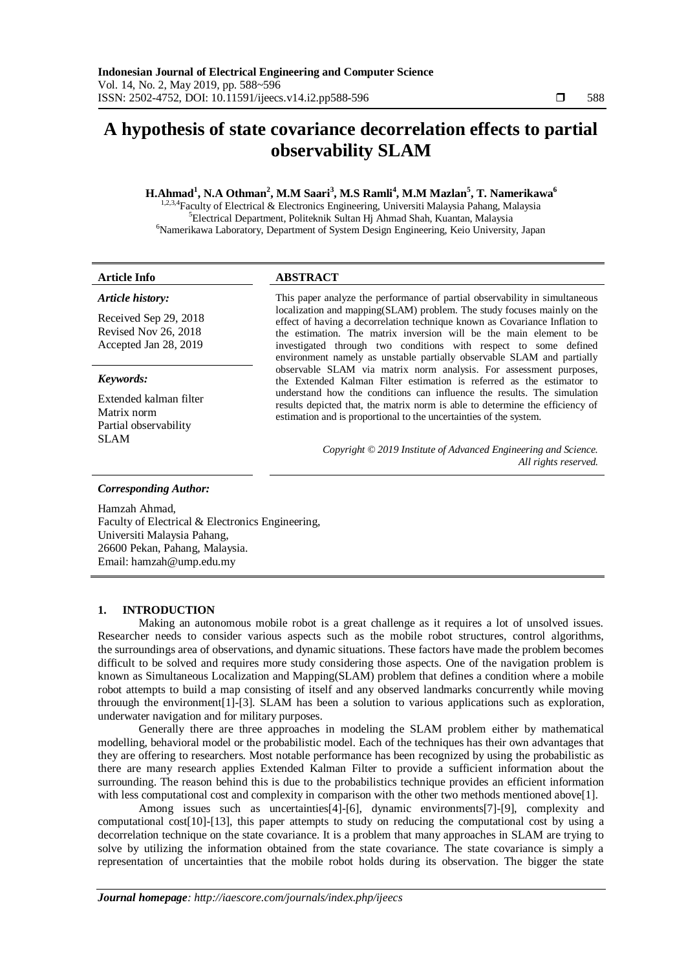# **A hypothesis of state covariance decorrelation effects to partial observability SLAM**

## **H.Ahmad<sup>1</sup> , N.A Othman<sup>2</sup> , M.M Saari<sup>3</sup> , M.S Ramli<sup>4</sup> , M.M Mazlan<sup>5</sup> , T. Namerikawa<sup>6</sup>**

<sup>2,3,4</sup>Faculty of Electrical & Electronics Engineering, Universiti Malaysia Pahang, Malaysia <sup>5</sup>Electrical Department, Politeknik Sultan Hj Ahmad Shah, Kuantan, Malaysia <sup>6</sup>Namerikawa Laboratory, Department of System Design Engineering, Keio University, Japan

#### **Article Info ABSTRACT**

*Article history:*

Received Sep 29, 2018 Revised Nov 26, 2018 Accepted Jan 28, 2019

### *Keywords:*

Extended kalman filter Matrix norm Partial observability SLAM

This paper analyze the performance of partial observability in simultaneous localization and mapping(SLAM) problem. The study focuses mainly on the effect of having a decorrelation technique known as Covariance Inflation to the estimation. The matrix inversion will be the main element to be investigated through two conditions with respect to some defined environment namely as unstable partially observable SLAM and partially observable SLAM via matrix norm analysis. For assessment purposes, the Extended Kalman Filter estimation is referred as the estimator to understand how the conditions can influence the results. The simulation results depicted that, the matrix norm is able to determine the efficiency of estimation and is proportional to the uncertainties of the system.

> *Copyright © 2019 Institute of Advanced Engineering and Science. All rights reserved.*

#### *Corresponding Author:*

Hamzah Ahmad, Faculty of Electrical & Electronics Engineering, Universiti Malaysia Pahang, 26600 Pekan, Pahang, Malaysia. Email: hamzah@ump.edu.my

#### **1. INTRODUCTION**

Making an autonomous mobile robot is a great challenge as it requires a lot of unsolved issues. Researcher needs to consider various aspects such as the mobile robot structures, control algorithms, the surroundings area of observations, and dynamic situations. These factors have made the problem becomes difficult to be solved and requires more study considering those aspects. One of the navigation problem is known as Simultaneous Localization and Mapping(SLAM) problem that defines a condition where a mobile robot attempts to build a map consisting of itself and any observed landmarks concurrently while moving throuugh the environment[1]-[3]. SLAM has been a solution to various applications such as exploration, underwater navigation and for military purposes.

Generally there are three approaches in modeling the SLAM problem either by mathematical modelling, behavioral model or the probabilistic model. Each of the techniques has their own advantages that they are offering to researchers. Most notable performance has been recognized by using the probabilistic as there are many research applies Extended Kalman Filter to provide a sufficient information about the surrounding. The reason behind this is due to the probabilistics technique provides an efficient information with less computational cost and complexity in comparison with the other two methods mentioned above[1].

Among issues such as uncertainties[4]-[6], dynamic environments[7]-[9], complexity and computational cost[10]-[13], this paper attempts to study on reducing the computational cost by using a decorrelation technique on the state covariance. It is a problem that many approaches in SLAM are trying to solve by utilizing the information obtained from the state covariance. The state covariance is simply a representation of uncertainties that the mobile robot holds during its observation. The bigger the state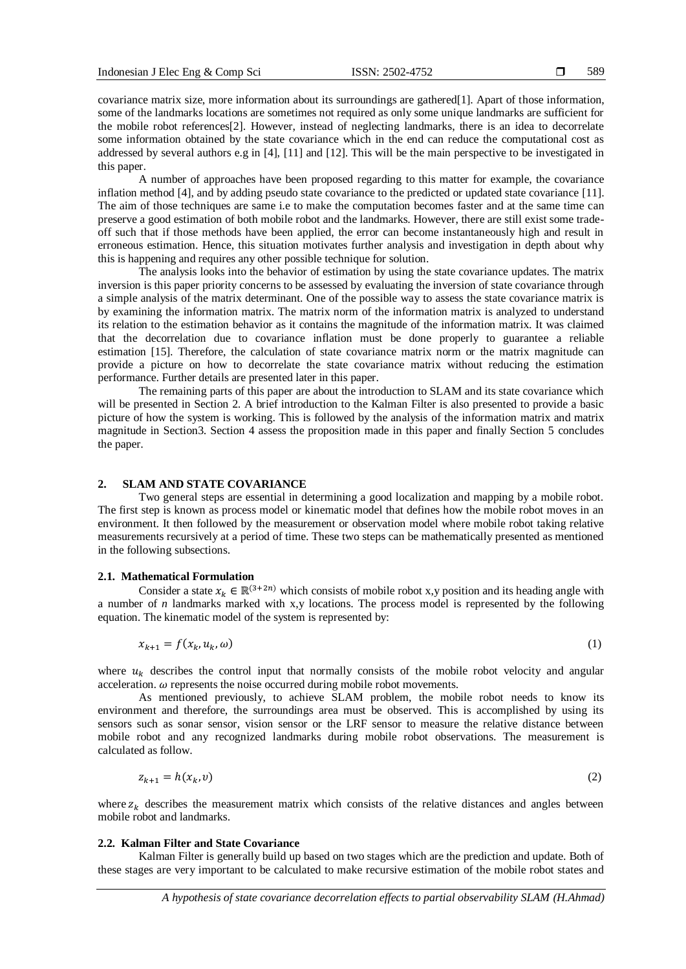589

covariance matrix size, more information about its surroundings are gathered[1]. Apart of those information, some of the landmarks locations are sometimes not required as only some unique landmarks are sufficient for the mobile robot references[2]. However, instead of neglecting landmarks, there is an idea to decorrelate some information obtained by the state covariance which in the end can reduce the computational cost as addressed by several authors e.g in [4], [11] and [12]. This will be the main perspective to be investigated in this paper.

A number of approaches have been proposed regarding to this matter for example, the covariance inflation method [4], and by adding pseudo state covariance to the predicted or updated state covariance [11]. The aim of those techniques are same i.e to make the computation becomes faster and at the same time can preserve a good estimation of both mobile robot and the landmarks. However, there are still exist some tradeoff such that if those methods have been applied, the error can become instantaneously high and result in erroneous estimation. Hence, this situation motivates further analysis and investigation in depth about why this is happening and requires any other possible technique for solution.

The analysis looks into the behavior of estimation by using the state covariance updates. The matrix inversion is this paper priority concerns to be assessed by evaluating the inversion of state covariance through a simple analysis of the matrix determinant. One of the possible way to assess the state covariance matrix is by examining the information matrix. The matrix norm of the information matrix is analyzed to understand its relation to the estimation behavior as it contains the magnitude of the information matrix. It was claimed that the decorrelation due to covariance inflation must be done properly to guarantee a reliable estimation [15]. Therefore, the calculation of state covariance matrix norm or the matrix magnitude can provide a picture on how to decorrelate the state covariance matrix without reducing the estimation performance. Further details are presented later in this paper.

The remaining parts of this paper are about the introduction to SLAM and its state covariance which will be presented in Section 2. A brief introduction to the Kalman Filter is also presented to provide a basic picture of how the system is working. This is followed by the analysis of the information matrix and matrix magnitude in Section3. Section 4 assess the proposition made in this paper and finally Section 5 concludes the paper.

#### **2. SLAM AND STATE COVARIANCE**

Two general steps are essential in determining a good localization and mapping by a mobile robot. The first step is known as process model or kinematic model that defines how the mobile robot moves in an environment. It then followed by the measurement or observation model where mobile robot taking relative measurements recursively at a period of time. These two steps can be mathematically presented as mentioned in the following subsections.

#### **2.1. Mathematical Formulation**

Consider a state  $x_k \in \mathbb{R}^{(3+2n)}$  which consists of mobile robot x,y position and its heading angle with a number of *n* landmarks marked with x,y locations. The process model is represented by the following equation. The kinematic model of the system is represented by:

$$
x_{k+1} = f(x_k, u_k, \omega) \tag{1}
$$

where  $u_k$  describes the control input that normally consists of the mobile robot velocity and angular acceleration.  $\omega$  represents the noise occurred during mobile robot movements.

As mentioned previously, to achieve SLAM problem, the mobile robot needs to know its environment and therefore, the surroundings area must be observed. This is accomplished by using its sensors such as sonar sensor, vision sensor or the LRF sensor to measure the relative distance between mobile robot and any recognized landmarks during mobile robot observations. The measurement is calculated as follow.

$$
z_{k+1} = h(x_k, v) \tag{2}
$$

where  $z_k$  describes the measurement matrix which consists of the relative distances and angles between mobile robot and landmarks.

#### **2.2. Kalman Filter and State Covariance**

Kalman Filter is generally build up based on two stages which are the prediction and update. Both of these stages are very important to be calculated to make recursive estimation of the mobile robot states and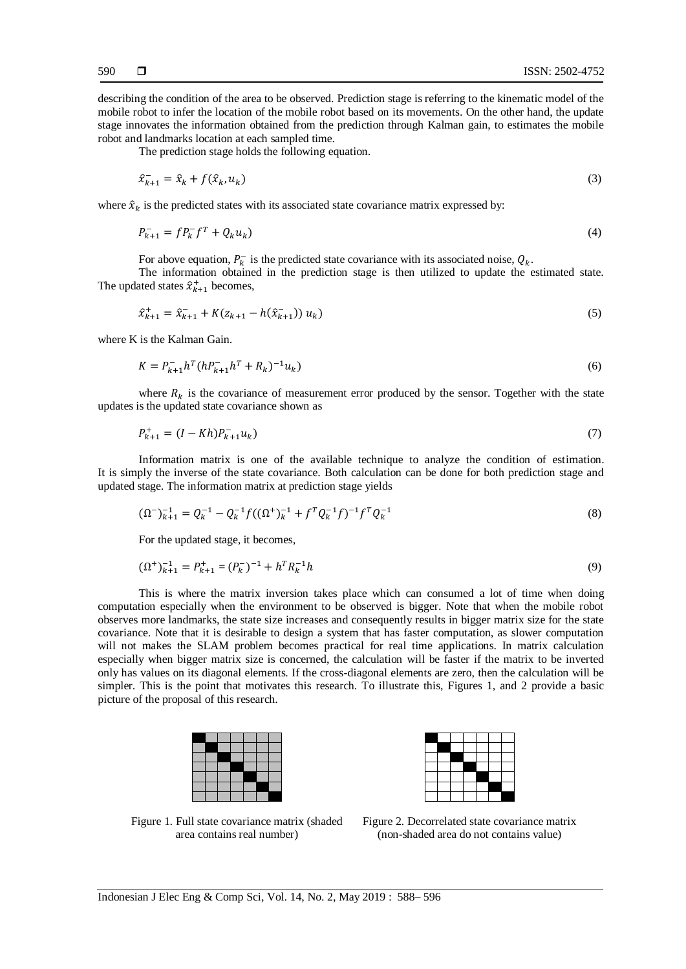describing the condition of the area to be observed. Prediction stage is referring to the kinematic model of the mobile robot to infer the location of the mobile robot based on its movements. On the other hand, the update stage innovates the information obtained from the prediction through Kalman gain, to estimates the mobile robot and landmarks location at each sampled time.

The prediction stage holds the following equation.

$$
\hat{x}_{k+1}^- = \hat{x}_k + f(\hat{x}_k, u_k) \tag{3}
$$

where  $\hat{x}_k$  is the predicted states with its associated state covariance matrix expressed by:

$$
P_{k+1}^- = f P_k^- f^T + Q_k u_k \tag{4}
$$

For above equation,  $P_k^-$  is the predicted state covariance with its associated noise,  $Q_k$ .

The information obtained in the prediction stage is then utilized to update the estimated state. The updated states  $\hat{x}_{k+1}^+$  becomes,

$$
\hat{x}_{k+1}^+ = \hat{x}_{k+1}^- + K(z_{k+1} - h(\hat{x}_{k+1}^-)) u_k)
$$
\n(5)

where K is the Kalman Gain.

$$
K = P_{k+1}^{-} h^{T} (h P_{k+1}^{-} h^{T} + R_{k})^{-1} u_{k})
$$
\n(6)

where  $R_k$  is the covariance of measurement error produced by the sensor. Together with the state updates is the updated state covariance shown as

$$
P_{k+1}^{+} = (I - Kh)P_{k+1}^{-}u_k
$$
\n<sup>(7)</sup>

Information matrix is one of the available technique to analyze the condition of estimation. It is simply the inverse of the state covariance. Both calculation can be done for both prediction stage and updated stage. The information matrix at prediction stage yields

$$
(\Omega^{-})_{k+1}^{-1} = Q_k^{-1} - Q_k^{-1} f((\Omega^{+})_k^{-1} + f^T Q_k^{-1} f)^{-1} f^T Q_k^{-1}
$$
\n(8)

For the updated stage, it becomes,

$$
(\Omega^+)^{-1}_{k+1} = P^+_{k+1} = (P^-_k)^{-1} + h^T R_k^{-1} h \tag{9}
$$

This is where the matrix inversion takes place which can consumed a lot of time when doing computation especially when the environment to be observed is bigger. Note that when the mobile robot observes more landmarks, the state size increases and consequently results in bigger matrix size for the state covariance. Note that it is desirable to design a system that has faster computation, as slower computation will not makes the SLAM problem becomes practical for real time applications. In matrix calculation especially when bigger matrix size is concerned, the calculation will be faster if the matrix to be inverted only has values on its diagonal elements. If the cross-diagonal elements are zero, then the calculation will be simpler. This is the point that motivates this research. To illustrate this, Figures 1, and 2 provide a basic picture of the proposal of this research.





Figure 1. Full state covariance matrix (shaded area contains real number)

Figure 2. Decorrelated state covariance matrix (non-shaded area do not contains value)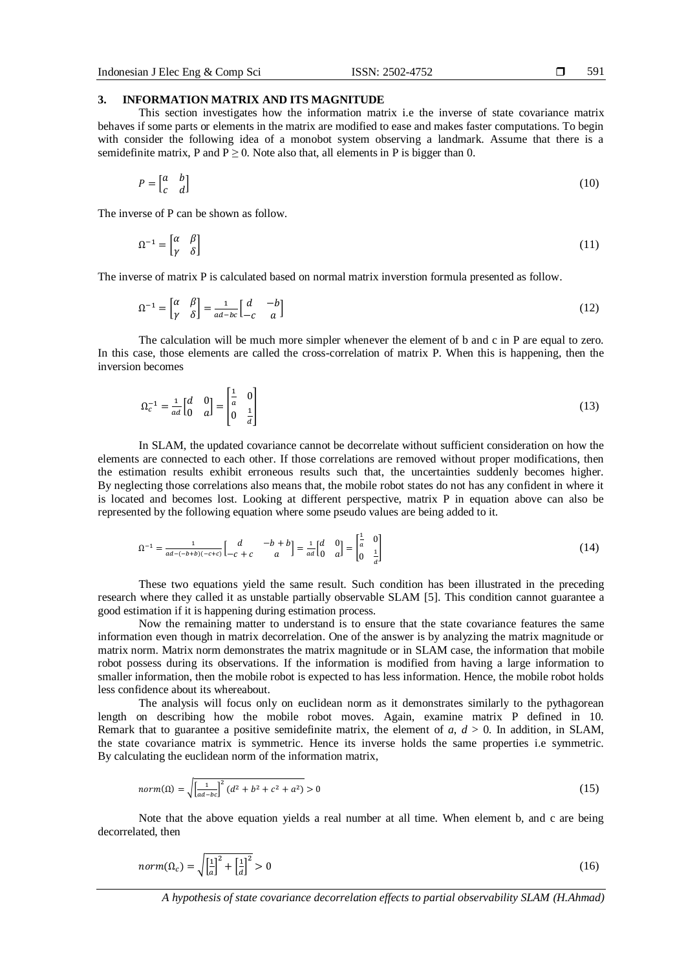#### 591

#### **3. INFORMATION MATRIX AND ITS MAGNITUDE**

This section investigates how the information matrix i.e the inverse of state covariance matrix behaves if some parts or elements in the matrix are modified to ease and makes faster computations. To begin with consider the following idea of a monobot system observing a landmark. Assume that there is a semidefinite matrix, P and  $P \ge 0$ . Note also that, all elements in P is bigger than 0.

$$
P = \begin{bmatrix} a & b \\ c & d \end{bmatrix} \tag{10}
$$

The inverse of P can be shown as follow.

$$
\Omega^{-1} = \begin{bmatrix} \alpha & \beta \\ \gamma & \delta \end{bmatrix} \tag{11}
$$

The inverse of matrix P is calculated based on normal matrix inverstion formula presented as follow.

$$
\Omega^{-1} = \begin{bmatrix} \alpha & \beta \\ \gamma & \delta \end{bmatrix} = \frac{1}{ad - bc} \begin{bmatrix} d & -b \\ -c & a \end{bmatrix} \tag{12}
$$

The calculation will be much more simpler whenever the element of b and c in P are equal to zero. In this case, those elements are called the cross-correlation of matrix P. When this is happening, then the inversion becomes

$$
\Omega_c^{-1} = \frac{1}{ad} \begin{bmatrix} d & 0 \\ 0 & a \end{bmatrix} = \begin{bmatrix} \frac{1}{a} & 0 \\ 0 & \frac{1}{a} \end{bmatrix}
$$
\n(13)

In SLAM, the updated covariance cannot be decorrelate without sufficient consideration on how the elements are connected to each other. If those correlations are removed without proper modifications, then the estimation results exhibit erroneous results such that, the uncertainties suddenly becomes higher. By neglecting those correlations also means that, the mobile robot states do not has any confident in where it is located and becomes lost. Looking at different perspective, matrix P in equation above can also be represented by the following equation where some pseudo values are being added to it.

$$
\Omega^{-1} = \frac{1}{aa - (-b+b)(-c+c)} \begin{bmatrix} d & -b+b \\ -c+c & a \end{bmatrix} = \frac{1}{ad} \begin{bmatrix} d & 0 \\ 0 & a \end{bmatrix} = \begin{bmatrix} \frac{1}{a} & 0 \\ 0 & \frac{1}{a} \end{bmatrix}
$$
(14)

These two equations yield the same result. Such condition has been illustrated in the preceding research where they called it as unstable partially observable SLAM [5]. This condition cannot guarantee a good estimation if it is happening during estimation process.

Now the remaining matter to understand is to ensure that the state covariance features the same information even though in matrix decorrelation. One of the answer is by analyzing the matrix magnitude or matrix norm. Matrix norm demonstrates the matrix magnitude or in SLAM case, the information that mobile robot possess during its observations. If the information is modified from having a large information to smaller information, then the mobile robot is expected to has less information. Hence, the mobile robot holds less confidence about its whereabout.

The analysis will focus only on euclidean norm as it demonstrates similarly to the pythagorean length on describing how the mobile robot moves. Again, examine matrix P defined in 10. Remark that to guarantee a positive semidefinite matrix, the element of  $a, d > 0$ . In addition, in SLAM, the state covariance matrix is symmetric. Hence its inverse holds the same properties i.e symmetric. By calculating the euclidean norm of the information matrix,

$$
norm(\Omega) = \sqrt{\left[\frac{1}{ad-bc}\right]^2 (d^2 + b^2 + c^2 + a^2)} > 0
$$
\n(15)

Note that the above equation yields a real number at all time. When element b, and c are being decorrelated, then

$$
norm(\Omega_c) = \sqrt{\left[\frac{1}{a}\right]^2 + \left[\frac{1}{d}\right]^2} > 0\tag{16}
$$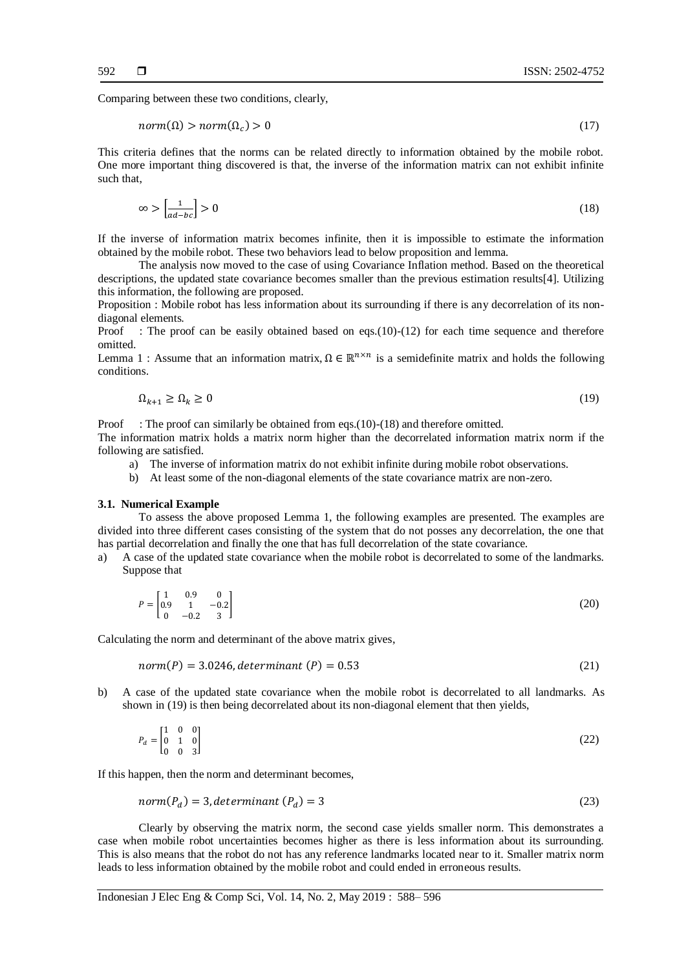Comparing between these two conditions, clearly,

$$
norm(\Omega) > norm(\Omega_c) > 0 \tag{17}
$$

This criteria defines that the norms can be related directly to information obtained by the mobile robot. One more important thing discovered is that, the inverse of the information matrix can not exhibit infinite such that,

$$
\infty > \left[\frac{1}{ad - bc}\right] > 0\tag{18}
$$

If the inverse of information matrix becomes infinite, then it is impossible to estimate the information obtained by the mobile robot. These two behaviors lead to below proposition and lemma.

The analysis now moved to the case of using Covariance Inflation method. Based on the theoretical descriptions, the updated state covariance becomes smaller than the previous estimation results[4]. Utilizing this information, the following are proposed.

Proposition : Mobile robot has less information about its surrounding if there is any decorrelation of its nondiagonal elements.

Proof : The proof can be easily obtained based on eqs.(10)-(12) for each time sequence and therefore omitted.

Lemma 1 : Assume that an information matrix,  $\Omega \in \mathbb{R}^{n \times n}$  is a semidefinite matrix and holds the following conditions.

$$
\Omega_{k+1} \ge \Omega_k \ge 0 \tag{19}
$$

Proof : The proof can similarly be obtained from eqs.(10)-(18) and therefore omitted.

The information matrix holds a matrix norm higher than the decorrelated information matrix norm if the following are satisfied.

- a) The inverse of information matrix do not exhibit infinite during mobile robot observations.
- b) At least some of the non-diagonal elements of the state covariance matrix are non-zero.

#### **3.1. Numerical Example**

To assess the above proposed Lemma 1, the following examples are presented. The examples are divided into three different cases consisting of the system that do not posses any decorrelation, the one that has partial decorrelation and finally the one that has full decorrelation of the state covariance.

a) A case of the updated state covariance when the mobile robot is decorrelated to some of the landmarks. Suppose that

$$
P = \begin{bmatrix} 1 & 0.9 & 0 \\ 0.9 & 1 & -0.2 \\ 0 & -0.2 & 3 \end{bmatrix}
$$
 (20)

Calculating the norm and determinant of the above matrix gives,

$$
norm(P) = 3.0246, determinant(P) = 0.53
$$
\n
$$
(21)
$$

b) A case of the updated state covariance when the mobile robot is decorrelated to all landmarks. As shown in (19) is then being decorrelated about its non-diagonal element that then yields,

$$
P_d = \begin{bmatrix} 1 & 0 & 0 \\ 0 & 1 & 0 \\ 0 & 0 & 3 \end{bmatrix} \tag{22}
$$

If this happen, then the norm and determinant becomes,

$$
norm(P_d) = 3, determinant(P_d) = 3
$$
\n(23)

Clearly by observing the matrix norm, the second case yields smaller norm. This demonstrates a case when mobile robot uncertainties becomes higher as there is less information about its surrounding. This is also means that the robot do not has any reference landmarks located near to it. Smaller matrix norm leads to less information obtained by the mobile robot and could ended in erroneous results.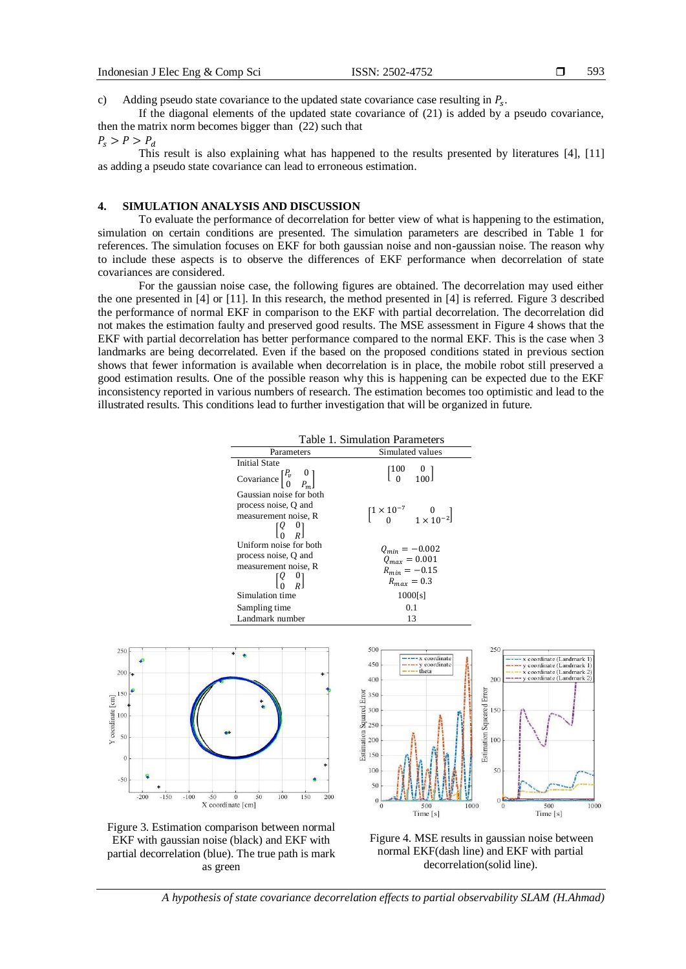593

c) Adding pseudo state covariance to the updated state covariance case resulting in  $P_s$ .

If the diagonal elements of the updated state covariance of  $(21)$  is added by a pseudo covariance, then the matrix norm becomes bigger than (22) such that

### $P_{\rm s} > P > P_{\rm d}$

This result is also explaining what has happened to the results presented by literatures [4], [11] as adding a pseudo state covariance can lead to erroneous estimation.

### **4. SIMULATION ANALYSIS AND DISCUSSION**

To evaluate the performance of decorrelation for better view of what is happening to the estimation, simulation on certain conditions are presented. The simulation parameters are described in Table 1 for references. The simulation focuses on EKF for both gaussian noise and non-gaussian noise. The reason why to include these aspects is to observe the differences of EKF performance when decorrelation of state covariances are considered.

For the gaussian noise case, the following figures are obtained. The decorrelation may used either the one presented in [4] or [11]. In this research, the method presented in [4] is referred. Figure 3 described the performance of normal EKF in comparison to the EKF with partial decorrelation. The decorrelation did not makes the estimation faulty and preserved good results. The MSE assessment in Figure 4 shows that the EKF with partial decorrelation has better performance compared to the normal EKF. This is the case when 3 landmarks are being decorrelated. Even if the based on the proposed conditions stated in previous section shows that fewer information is available when decorrelation is in place, the mobile robot still preserved a good estimation results. One of the possible reason why this is happening can be expected due to the EKF inconsistency reported in various numbers of research. The estimation becomes too optimistic and lead to the illustrated results. This conditions lead to further investigation that will be organized in future.



Figure 3. Estimation comparison between normal EKF with gaussian noise (black) and EKF with partial decorrelation (blue). The true path is mark as green

Figure 4. MSE results in gaussian noise between normal EKF(dash line) and EKF with partial decorrelation(solid line).

*A hypothesis of state covariance decorrelation effects to partial observability SLAM (H.Ahmad)*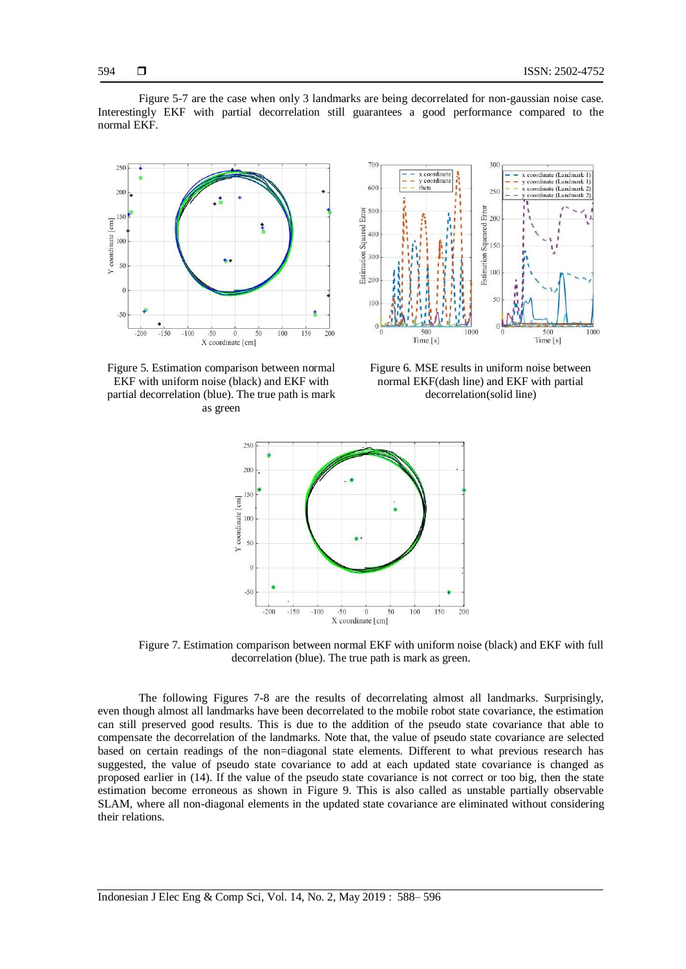Figure 5-7 are the case when only 3 landmarks are being decorrelated for non-gaussian noise case. Interestingly EKF with partial decorrelation still guarantees a good performance compared to the normal EKF.





Figure 5. Estimation comparison between normal EKF with uniform noise (black) and EKF with partial decorrelation (blue). The true path is mark as green

Figure 6. MSE results in uniform noise between normal EKF(dash line) and EKF with partial decorrelation(solid line)



Figure 7. Estimation comparison between normal EKF with uniform noise (black) and EKF with full decorrelation (blue). The true path is mark as green.

The following Figures 7-8 are the results of decorrelating almost all landmarks. Surprisingly, even though almost all landmarks have been decorrelated to the mobile robot state covariance, the estimation can still preserved good results. This is due to the addition of the pseudo state covariance that able to compensate the decorrelation of the landmarks. Note that, the value of pseudo state covariance are selected based on certain readings of the non=diagonal state elements. Different to what previous research has suggested, the value of pseudo state covariance to add at each updated state covariance is changed as proposed earlier in (14). If the value of the pseudo state covariance is not correct or too big, then the state estimation become erroneous as shown in Figure 9. This is also called as unstable partially observable SLAM, where all non-diagonal elements in the updated state covariance are eliminated without considering their relations.

594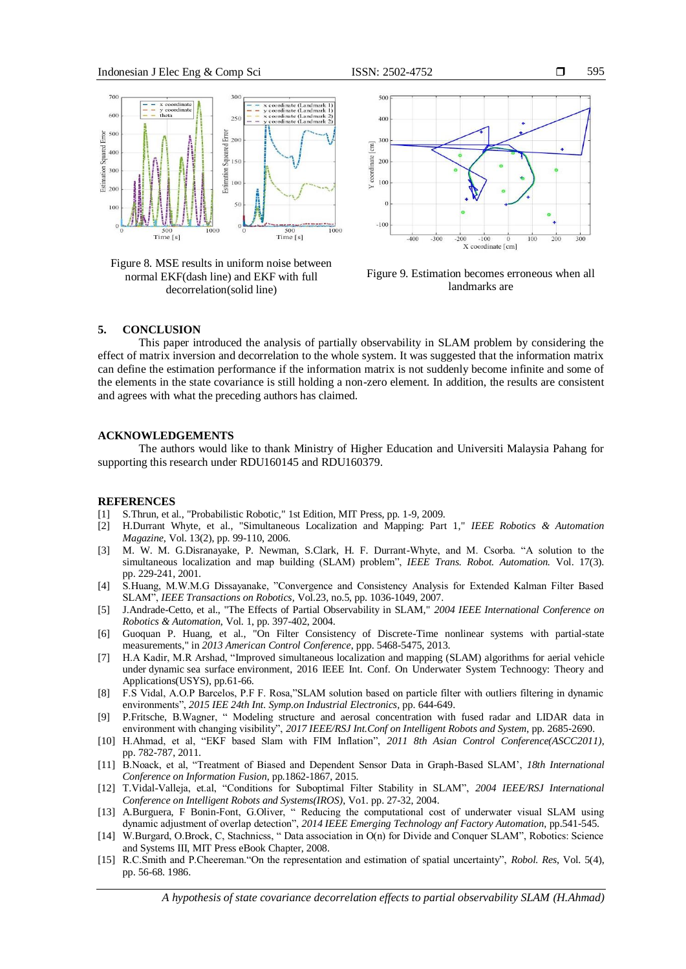

Figure 8. MSE results in uniform noise between normal EKF(dash line) and EKF with full decorrelation(solid line)



Figure 9. Estimation becomes erroneous when all landmarks are

#### **5. CONCLUSION**

This paper introduced the analysis of partially observability in SLAM problem by considering the effect of matrix inversion and decorrelation to the whole system. It was suggested that the information matrix can define the estimation performance if the information matrix is not suddenly become infinite and some of the elements in the state covariance is still holding a non-zero element. In addition, the results are consistent and agrees with what the preceding authors has claimed.

#### **ACKNOWLEDGEMENTS**

The authors would like to thank Ministry of Higher Education and Universiti Malaysia Pahang for supporting this research under RDU160145 and RDU160379.

#### **REFERENCES**

- [1] S.Thrun, et al., "Probabilistic Robotic," 1st Edition, MIT Press, pp. 1-9, 2009.
- [2] H.Durrant Whyte, et al., "Simultaneous Localization and Mapping: Part 1," *IEEE Robotics & Automation Magazine*, Vol. 13(2), pp. 99-110, 2006.
- [3] M. W. M. G.Disranayake, P. Newman, S.Clark, H. F. Durrant-Whyte, and M. Csorba. "A solution to the simultaneous localization and map building (SLAM) problem", *IEEE Trans. Robot. Automation.* Vol. 17(3). pp. 229-241, 2001.
- [4] S.Huang, M.W.M.G Dissayanake, "Convergence and Consistency Analysis for Extended Kalman Filter Based SLAM", *IEEE Transactions on Robotics,* Vol.23, no.5, pp. 1036-1049, 2007.
- [5] J.Andrade-Cetto, et al., "The Effects of Partial Observability in SLAM," *2004 IEEE International Conference on Robotics & Automation*, Vol. 1, pp. 397-402, 2004.
- [6] Guoquan P. Huang, et al., "On Filter Consistency of Discrete-Time nonlinear systems with partial-state measurements," in *2013 American Control Conference*, ppp. 5468-5475, 2013.
- [7] H.A Kadir, M.R Arshad, ["Improved simultaneous localization and mapping \(SLAM\) algorithms for aerial vehicle](http://ieeexplore.ieee.org/document/7893937/)  under dynamic sea surface [environment,](http://ieeexplore.ieee.org/document/7893937/) 2016 IEEE Int. Conf. On Underwater System Technoogy: Theory and Applications(USYS), pp.61-66.
- [8] F.S Vidal, A.O.P Barcelos, P.F F. Rosa,"SLAM solution based on particle filter with outliers filtering in dynamic environments", *2015 IEE 24th Int. Symp.on Industrial Electronics*, pp. 644-649.
- [9] P.Fritsche, B.Wagner, " Modeling structure and aerosal concentration with fused radar and LIDAR data in environment with changing visibility", *2017 IEEE/RSJ Int.Conf on Intelligent Robots and System*, pp. 2685-2690.
- [10] H.Ahmad, et al, "EKF based Slam with FIM Inflation", *2011 8th Asian Control Conference(ASCC2011)*, pp. 782-787, 2011.
- [11] B.Noack, et al, "Treatment of Biased and Dependent Sensor Data in Graph-Based SLAM', *18th International Conference on Information Fusion*, pp.1862-1867, 2015.
- [12] T.Vidal-Valleja, et.al, "Conditions for Suboptimal Filter Stability in SLAM", *2004 IEEE/RSJ International Conference on Intelligent Robots and Systems(IROS)*, Vo1. pp. 27-32, 2004.
- [13] A.Burguera, F Bonin-Font, G.Oliver, " Reducing the computational cost of underwater visual SLAM using dynamic adjustment of overlap detection", *2014 IEEE Emerging Technology anf Factory Automation*, pp.541-545.
- [14] W.Burgard, O.Brock, C, Stachnicss, " Data association in O(n) for Divide and Conquer SLAM", Robotics: Science and Systems III, MIT Press eBook Chapter, 2008.
- [15] R.C.Smith and P.Cheereman."On the representation and estimation of spatial uncertainty", *Robol. Res*, Vol. 5(4), pp. 56-68. 1986.